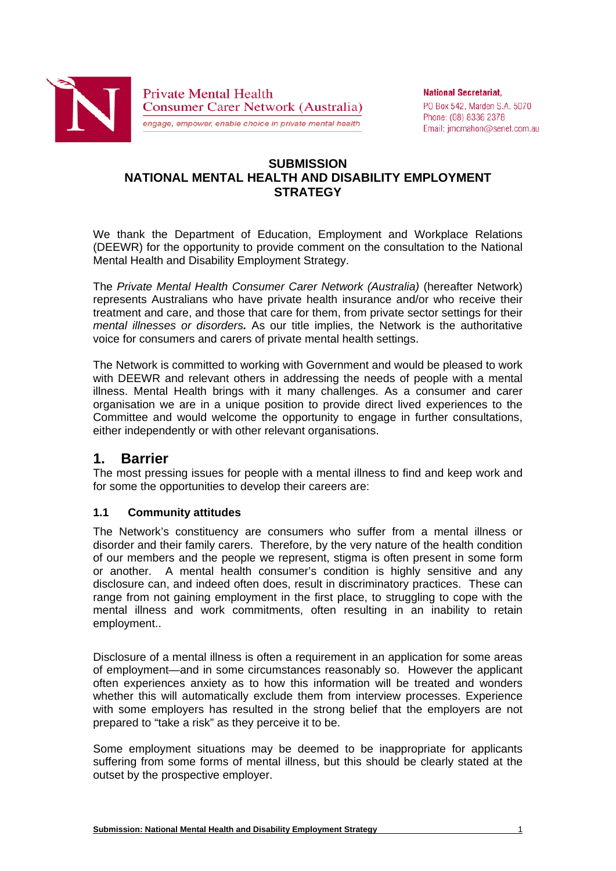

**National Secretariat,** PO Box 542, Marden S.A. 5070 Phone: (08) 8336 2378 Email: jmcmahon@senet.com.au

## **SUBMISSION NATIONAL MENTAL HEALTH AND DISABILITY EMPLOYMENT STRATEGY**

We thank the Department of Education, Employment and Workplace Relations (DEEWR) for the opportunity to provide comment on the consultation to the National Mental Health and Disability Employment Strategy.

The *Private Mental Health Consumer Carer Network (Australia)* (hereafter Network) represents Australians who have private health insurance and/or who receive their treatment and care, and those that care for them, from private sector settings for their *mental illnesses or disorders.* As our title implies, the Network is the authoritative voice for consumers and carers of private mental health settings.

The Network is committed to working with Government and would be pleased to work with DEEWR and relevant others in addressing the needs of people with a mental illness. Mental Health brings with it many challenges. As a consumer and carer organisation we are in a unique position to provide direct lived experiences to the Committee and would welcome the opportunity to engage in further consultations, either independently or with other relevant organisations.

# **1. Barrier**

The most pressing issues for people with a mental illness to find and keep work and for some the opportunities to develop their careers are:

#### **1.1 Community attitudes**

The Network's constituency are consumers who suffer from a mental illness or disorder and their family carers. Therefore, by the very nature of the health condition of our members and the people we represent, stigma is often present in some form or another. A mental health consumer's condition is highly sensitive and any disclosure can, and indeed often does, result in discriminatory practices. These can range from not gaining employment in the first place, to struggling to cope with the mental illness and work commitments, often resulting in an inability to retain employment..

Disclosure of a mental illness is often a requirement in an application for some areas of employment—and in some circumstances reasonably so. However the applicant often experiences anxiety as to how this information will be treated and wonders whether this will automatically exclude them from interview processes. Experience with some employers has resulted in the strong belief that the employers are not prepared to "take a risk" as they perceive it to be.

Some employment situations may be deemed to be inappropriate for applicants suffering from some forms of mental illness, but this should be clearly stated at the outset by the prospective employer.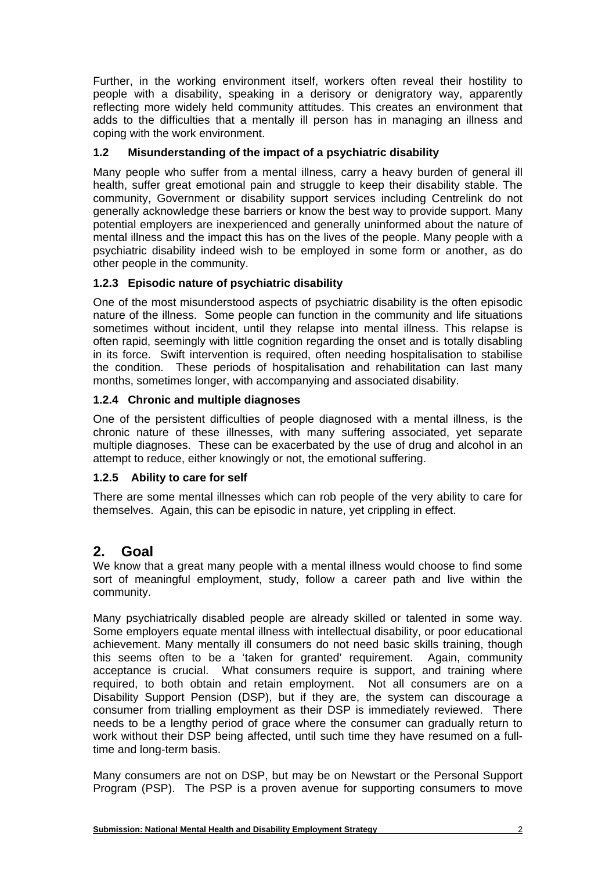Further, in the working environment itself, workers often reveal their hostility to people with a disability, speaking in a derisory or denigratory way, apparently reflecting more widely held community attitudes. This creates an environment that adds to the difficulties that a mentally ill person has in managing an illness and coping with the work environment.

## **1.2 Misunderstanding of the impact of a psychiatric disability**

Many people who suffer from a mental illness, carry a heavy burden of general ill health, suffer great emotional pain and struggle to keep their disability stable. The community, Government or disability support services including Centrelink do not generally acknowledge these barriers or know the best way to provide support. Many potential employers are inexperienced and generally uninformed about the nature of mental illness and the impact this has on the lives of the people. Many people with a psychiatric disability indeed wish to be employed in some form or another, as do other people in the community.

### **1.2.3 Episodic nature of psychiatric disability**

One of the most misunderstood aspects of psychiatric disability is the often episodic nature of the illness. Some people can function in the community and life situations sometimes without incident, until they relapse into mental illness. This relapse is often rapid, seemingly with little cognition regarding the onset and is totally disabling in its force. Swift intervention is required, often needing hospitalisation to stabilise the condition. These periods of hospitalisation and rehabilitation can last many months, sometimes longer, with accompanying and associated disability.

### **1.2.4 Chronic and multiple diagnoses**

One of the persistent difficulties of people diagnosed with a mental illness, is the chronic nature of these illnesses, with many suffering associated, yet separate multiple diagnoses. These can be exacerbated by the use of drug and alcohol in an attempt to reduce, either knowingly or not, the emotional suffering.

#### **1.2.5 Ability to care for self**

There are some mental illnesses which can rob people of the very ability to care for themselves. Again, this can be episodic in nature, yet crippling in effect.

# **2. Goal**

We know that a great many people with a mental illness would choose to find some sort of meaningful employment, study, follow a career path and live within the community.

Many psychiatrically disabled people are already skilled or talented in some way. Some employers equate mental illness with intellectual disability, or poor educational achievement. Many mentally ill consumers do not need basic skills training, though this seems often to be a 'taken for granted' requirement. Again, community acceptance is crucial. What consumers require is support, and training where required, to both obtain and retain employment. Not all consumers are on a Disability Support Pension (DSP), but if they are, the system can discourage a consumer from trialling employment as their DSP is immediately reviewed. There needs to be a lengthy period of grace where the consumer can gradually return to work without their DSP being affected, until such time they have resumed on a fulltime and long-term basis.

Many consumers are not on DSP, but may be on Newstart or the Personal Support Program (PSP). The PSP is a proven avenue for supporting consumers to move